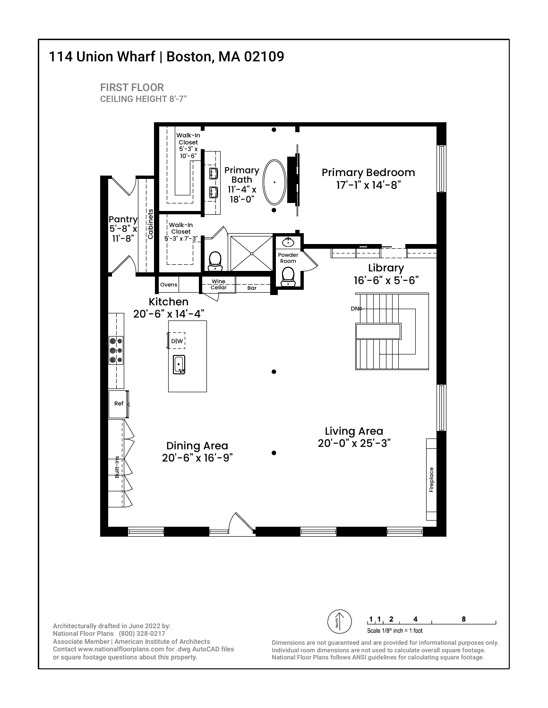

or square footage questions about this property.

Individual room dimensions are not used to calculate overall square footage. National Floor Plans follows ANSI guidelines for calculating square footage.